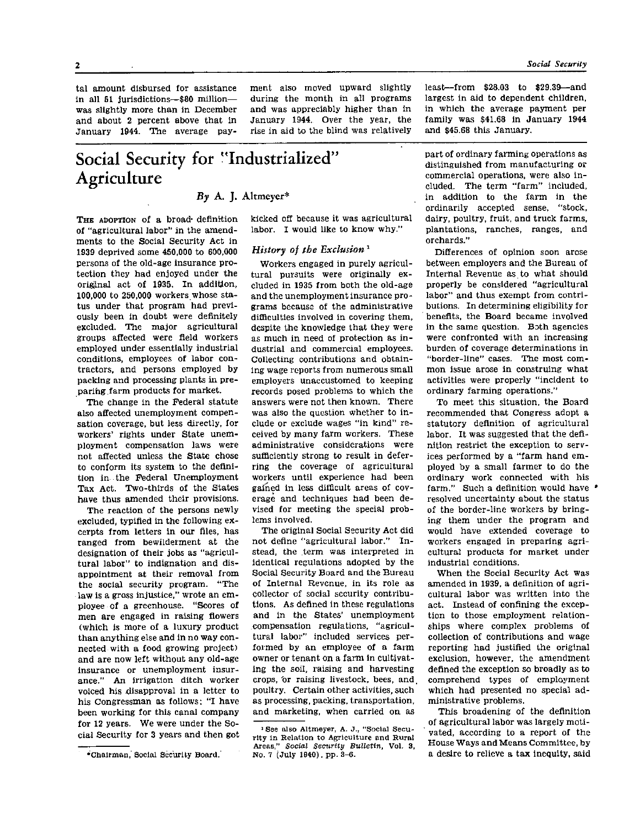tal amount disbursed for assistance in all 51 jurisdictions-\$80 millionwas slightly more than in December and about 2 percent above that in January 1944. The average payment also moved upward slightly during the month in all programs and was appreciably higher than in January 1944. Over the year, the rise in aid to the blind was relatively

# **Social Security for "Industrialized" Agriculture**

*By* **A. J. Altmeyer\*** 

THE ADOPTION of a broad definition of "agricultural labor" in the amendments to the Social Security Act in 1939 deprived some 450,000 to 600,000 persons of the old-age insurance protection they had enjoyed under the original act of 1935. In addition, 100,000 to 250,000 workers whose status under that program had previously been in doubt were definitely excluded. The major agricultural groups affected were field workers employed under essentially industrial conditions, employees of labor contractors, and persons employed by packing and processing plants in preparing farm products for market.

The change in the Federal statute also affected unemployment compensation coverage, but less directly, for workers' rights under State unemployment compensation laws were not affected unless the State chose to conform its system to the definition in the Federal Unemployment Tax Act. Two-thirds of the States have thus amended their provisions.

The reaction of the persons newly excluded, typified in the following excerpts from letters in our files, has ranged from bewilderment at the designation of their jobs as "agricultural labor" to indignation and disappointment at their removal from the social security program. "The law is a gross injustice," wrote an employee of a greenhouse. "Scores of men are engaged in raising flowers (which is more of a luxury product than anything else and in no way connected with a food growing project) and are now left without any old-age insurance or unemployment insurance." An irrigation ditch worker voiced his disapproval in a letter to his Congressman as follows: "I have been working for this canal company for 12 years. We were under the Social Security for 3 years and then got kicked off because it was agricultural labor. I would like to know why."

#### *History of the Exclusion<sup>1</sup>*

Workers engaged in purely agricultural pursuits were originally excluded in 1935 from both the old-age and the unemployment insurance programs because of the administrative difficulties involved in covering them, despite the knowledge that they were as much in need of protection as industrial and commercial employees. Collecting contributions and obtaining wage reports from numerous small employers unaccustomed to keeping records posed problems to which the answers were not then known. There was also the question whether to include or exclude wages "in kind" received by many farm workers. These administrative considerations were sufficiently strong to result in deferring the coverage of agricultural workers until experience had been gained in less difficult areas of coverage and techniques had been devised for meeting the special problems involved.

The original Social Security Act did not define "agricultural labor." Instead, the term was interpreted in identical regulations adopted by the Social Security Board and the Bureau of Internal Revenue, in its role as collector of social security contributions. As defined in these regulations and in the States' unemployment compensation regulations, "agricultural labor" included services performed by an employee of a farm owner or tenant on a farm in cultivating the soil, raising and harvesting crops, or raising livestock, bees, and poultry. Certain other activities, such as processing, packing, transportation, and marketing, when carried on as

least-from \$28.03 to \$29.39-and largest in aid to dependent children, in which the average payment per family was \$41,68 in January 1944 and \$45.68 this January.

part of ordinary farming operations as distinguished from manufacturing or commercial operations, were also included. The term "farm" included, in addition to the farm in the ordinarily accepted sense, "stock, dairy, poultry, fruit, and truck farms, plantations, ranches, ranges, and orchards."

Differences of opinion soon arose between employers and the Bureau of Internal Revenue as to what should properly be considered "agricultural labor" and thus exempt from contributions. In determining eligibility for benefits, the Board became involved in the same question. Both agencies were confronted with an increasing burden of coverage determinations in "border-line" cases. The most common issue arose in construing what activities were properly "incident to ordinary farming operations."

To meet this situation, the Board recommended that Congress adopt a statutory definition of agricultural labor. It was suggested that the definition restrict the exception to services performed by a "farm hand employed by a small farmer to do the ordinary work connected with his farm." Such a definition would have resolved uncertainty about the status of the border-line workers by bringing them under the program and would have extended coverage to workers engaged in preparing agricultural products for market under industrial conditions.

When the Social Security Act was amended in 1939, a definition of agricultural labor was written into the act. Instead of confining the exception to those employment relationships where complex problems of collection of contributions and wage reporting had justified the original exclusion, however, the amendment defined the exception so broadly as to comprehend types of employment which had presented no special administrative problems.

This broadening of the definition of agricultural labor was largely motivated, according to a report of the House Ways and Means Committee, by a desire to relieve a tax inequity, said

<sup>\*</sup>Chairman, Social Security Board.

<sup>1</sup>See also Altmeyer, A. J., "Social Security in Relation to Agriculture and Rural Areas," *Social Security Bulletin,* Vol. 3, No. 7 (July 1940), pp. 3-6.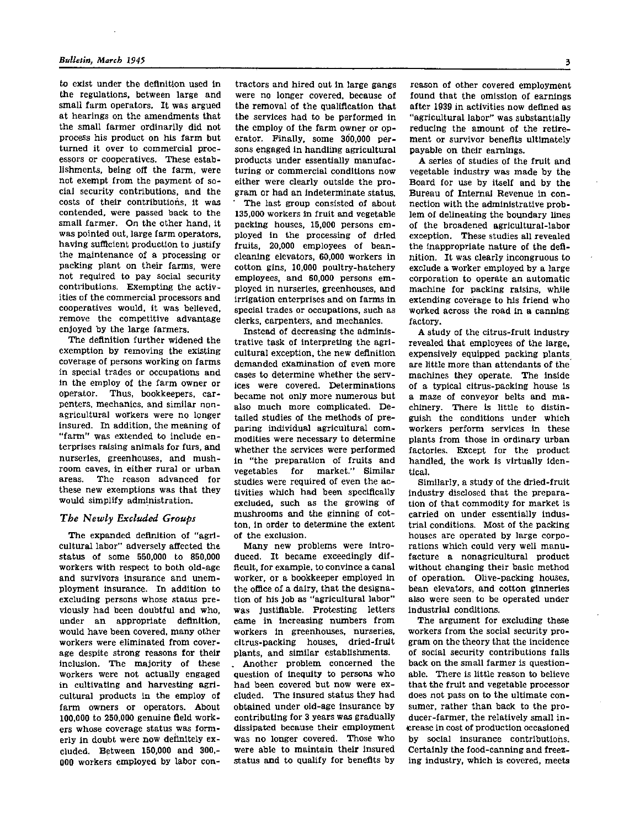to exist under the definition used in the regulations, between large and small farm operators. It was argued at hearings on the amendments that the small farmer ordinarily did not process his product on his farm but turned it over to commercial processors or cooperatives. These establishments, being off the farm, were not exempt from the payment of social security contributions, and the costs of their contributions, it was contended, were passed back to the small farmer. On the other hand, it was pointed out, large farm operators, having sufficient production to justify the maintenance of a processing or packing plant on their farms, were not required to pay social security contributions. Exempting the activities of the commercial processors and cooperatives would, it was believed, remove the competitive advantage enjoyed by the large farmers.

The definition further widened the exemption by removing the existing coverage of persons working on farms in special trades or occupations and in the employ of the farm owner or operator. Thus, bookkeepers, carpenters, mechanics, and similar nonagricultural workers were no longer insured. In addition, the meaning of "farm" was extended to include enterprises raising animals for furs, and nurseries, greenhouses, and mushroom caves, in either rural or urban areas. The reason advanced for these new exemptions was that they would simplify administration.

#### *The Newly Excluded Groups*

The expanded definition of "agricultural labor" adversely affected the status of some 550,000 to 850,000 workers with respect to both old-age and survivors insurance and unemployment insurance. In addition to excluding persons whose status previously had been doubtful and who, under an appropriate definition, would have been covered, many other workers were eliminated from coverage despite strong reasons for their inclusion. The majority of these workers were not actually engaged in cultivating and harvesting agricultural products in the employ of farm owners or operators. About 100,000 to 250,000 genuine field workers whose coverage status was formerly in doubt were now definitely excluded. Between 150,000 and 300,- 0 00 workers employed by labor con-

tractors and hired out in large gangs were no longer covered, because of the removal of the qualification that the services had to be performed in the employ of the farm owner or operator. Finally, some 300,000 persons engaged in handling agricultural products under essentially manufacturing or commercial conditions now either were clearly outside the program or had an indeterminate status.

The last group consisted of about 135,000 workers in fruit and vegetable packing houses, 15,000 persons employed in the processing of dried fruits, 20,000 employees of beancleaning elevators, 60,000 workers in cotton gins, 10,000 poultry-hatchery employees, and 60,000 persons employed in nurseries, greenhouses, and irrigation enterprises and on farms in special trades or occupations, such as clerks, carpenters, and mechanics.

Instead of decreasing the administrative task of interpreting the agricultural exception, the new definition demanded examination of even more cases to determine whether the services were covered. Determinations became not only more numerous but also much more complicated. Detailed studies of the methods of preparing individual agricultural commodities were necessary to determine whether the services were performed in "the preparation of fruits and vegetables for market." Similar studies were required of even the activities which had been specifically excluded, such as the growing of mushrooms and the ginning of cotton, in order to determine the extent of the exclusion.

Many new problems were introduced. It became exceedingly difficult, for example, to convince a canal worker, or a bookkeeper employed in the office of a dairy, that the designation of his job as "agricultural labor" was justifiable. Protesting letters came in increasing numbers from workers in greenhouses, nurseries, citrus-packing houses, dried-fruit plants, and similar establishments. Another problem concerned the question of inequity to persons who had been covered but now were excluded. The insured status they had obtained under old-age insurance by contributing for 3 years was gradually dissipated because their employment

was no longer covered. Those who were able to maintain their insured status and to qualify for benefits by

reason of other covered employment found that the omission of earnings after 1939 in activities now defined as "agricultural labor" was substantially reducing the amount of the retirement or survivor benefits ultimately payable on their earnings.

A series of studies of the fruit and vegetable industry was made by the Board for use by itself and by the Bureau of Internal Revenue in connection with the administrative problem of delineating the boundary lines of the broadened agricultural-labor exception. These studies all revealed the inappropriate nature of the definition. It was clearly incongruous to exclude a worker employed by a large corporation to operate an automatic machine for packing raisins, while extending coverage to his friend who worked across the road in a canning factory.

A study of the citrus-fruit industry revealed that employees of the large, expensively equipped packing plants are little more than attendants of the machines they operate. The inside of a typical citrus-packing house is a maze of conveyor belts and machinery. There is little to distinguish the conditions under which workers perform services in these plants from those in ordinary urban factories. Except for the product handled, the work is virtually identical.

Similarly, a study of the dried-fruit industry disclosed that the preparation of that commodity for market is carried on under essentially industrial conditions. Most of the packing houses are operated by large corporations which could very well manufacture a nonagricultural product without changing their basic method of operation. Olive-packing houses, bean elevators, and cotton ginneries also were seen to be operated under industrial conditions.

The argument for excluding these workers from the social security program on the theory that the incidence of social security contributions falls back on the small farmer is questionable. There is little reason to believe that the fruit and vegetable processor does not pass on to the ultimate consumer, rather than back to the producer-farmer, the relatively small increase in cost of production occasioned by social insurance contributions. Certainly the food-canning and freezing industry, which is covered, meets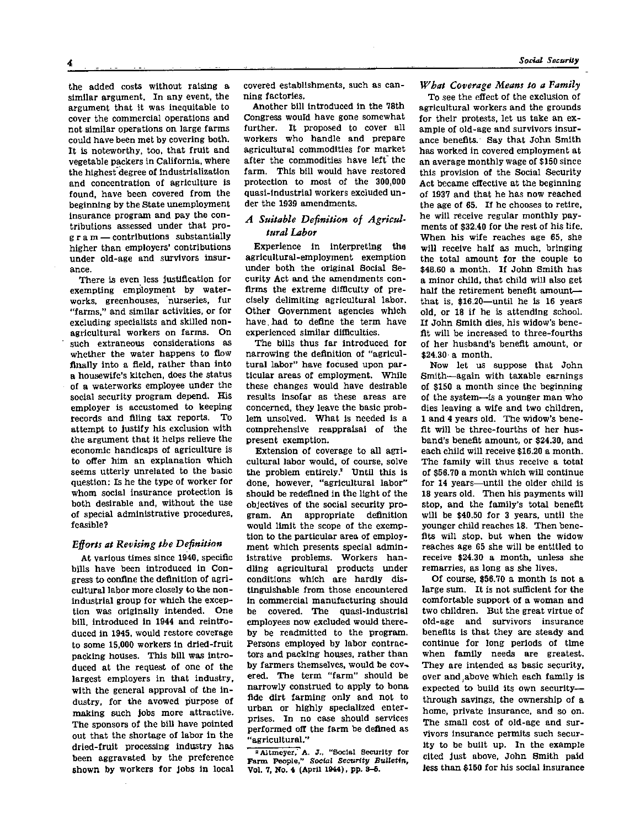the added costs without raising a similar argument. In any event, the argument that it was inequitable to cover the commercial operations and not similar operations on large farms could have been met by covering both. It is noteworthy, too, that fruit and vegetable packers in California, where the highest degree of industrialization and concentration of agriculture is found, have been covered from the beginning by the State unemployment insurance program and pay the contributions assessed under that program — contributions substantially higher than employers' contributions under old-age and survivors insurance.

There is even less justification for exempting employment by waterworks, greenhouses, nurseries, fur "farms," and similar activities, or for excluding specialists and skilled nonagricultural workers on farms. On such extraneous considerations as whether the water happens to flow finally into a field, rather than into a housewife's kitchen, does the status of a waterworks employee under the social security program depend. His employer is accustomed to keeping records and filing tax reports. To attempt to justify his exclusion with the argument that it helps relieve the economic handicaps of agriculture is to offer him an explanation which seems utterly unrelated to the basic question: Is he the type of worker for whom social insurance protection is both desirable and, without the use of special administrative procedures, feasible?

#### *Efforts at Revising the Definition*

At various times since 1940, specific bills have been introduced in Congress to confine the definition of agricultural labor more closely to the nonindustrial group for which the exception was originally intended. One bill, introduced in 1944 and reintroduced in 1945, would restore coverage to some 15,000 workers in dried-fruit packing houses. This bill was introduced at the request of one of the largest employers in that industry, with the general approval of the industry, for the avowed purpose of making such jobs more attractive. The sponsors of the bill have pointed out that the shortage of labor in the dried-fruit processing industry has been aggravated by the preference shown by workers for jobs in local

covered establishments, such as canning factories.

Another bill introduced in the 78th Congress would have gone somewhat further. It proposed to cover all workers who handle and prepare agricultural commodities for market after the commodities have left the farm. This bill would have restored protection to most of the 300,000 quasi-industrial workers excluded under the 1939 amendments.

### *A Suitable Definition of Agricultural Labor*

Experience in interpreting the agricultural-employment exemption under both the original Social Security Act and the amendments confirms the extreme difficulty of precisely delimiting agricultural labor. Other Government agencies which have had to define the term have experienced similar difficulties.

The bills thus far introduced for narrowing the definition of "agricultural labor" have focused upon particular areas of employment. While these changes would have desirable results insofar as these areas are concerned, they leave the basic problem unsolved. What is needed is a comprehensive reappraisal of the present exemption.

Extension of coverage to all agricultural labor would, of course, solve the problem entirely.<sup>2</sup> Until this is done, however, "agricultural labor" should be redefined in the light of the objectives of the social security program. An appropriate definition would limit the scope of the exemption to the particular area of employment which presents special administrative problems. Workers handling agricultural products under conditions which are hardly distinguishable from those encountered in commercial manufacturing should be covered. The quasi-industrial employees now excluded would thereby be readmitted to the program. Persons employed by labor contractors and packing houses, rather than by farmers themselves, would be covered. The term "farm" should be narrowly construed to apply to bona fide dirt farming only and not to urban or highly specialized enterprises. In no case should services performed off the farm be defined as "agricultural."

<sup>2</sup> Altmeyer,' A. J., "Social Security for Farm People," *Social Security Bulletin,* **Vol. 7, No. 4 (April 1944), pp.** 3**-6.** 

*What Coverage Means to a Family* 

To see the effect of the exclusion of agricultural workers and the grounds for their protests, let us take an example of old-age and survivors insurance benefits. Say that John Smith has worked in covered employment at an average monthly wage of \$150 since this provision of the Social Security Act became effective at the beginning of 1937 and that he has now reached the age of 65. If he chooses to retire, he will receive regular monthly payments of \$32.40 for the rest of his life. When his wife reaches age 65, she will receive half as much, bringing the total amount for the couple to \$48.60 a month. If John Smith has a minor child, that child will also get half the retirement benefit amount that is, \$16.20—until he is 16 years old, or 18 if he is attending school. If John Smith dies, his widow's benefit will be increased to three-fourths of her husband's benefit amount, or  $$24.30 \text{ a month}$ 

Now let us suppose that John Smith—again with taxable earnings of \$150 a month since the beginning of the system—is a younger man who dies leaving a wife and two children, 1 and 4 years old. The widow's benefit will be three-fourths of her husband's benefit amount, or \$24.30, and each child will receive \$16.20 a month. The family will thus receive a total of \$56.70 a month which will continue for 14 years—until the older child is 18 years old. Then his payments will stop, and the family's total benefit will be \$40.50 for 3 years, until the younger child reaches 18. Then benefits will stop, but when the widow reaches age 65 she will be entitled to receive \$24.30 a month, unless she remarries, as long as she lives.

Of course, \$56.70 a month is not a large sum. It is not sufficient for the comfortable support of a woman and two children. But the great virtue of old-age and survivors insurance benefits is that they are steady and continue for long periods of time when family needs are greatest. They are intended as basic security, over and above which each family is expected to build its own security through savings, the ownership of a home, private insurance, and so on. The small cost of old-age and survivors insurance permits such security to be built up. In the example cited just above, John Smith paid less than \$150 for his social insurance